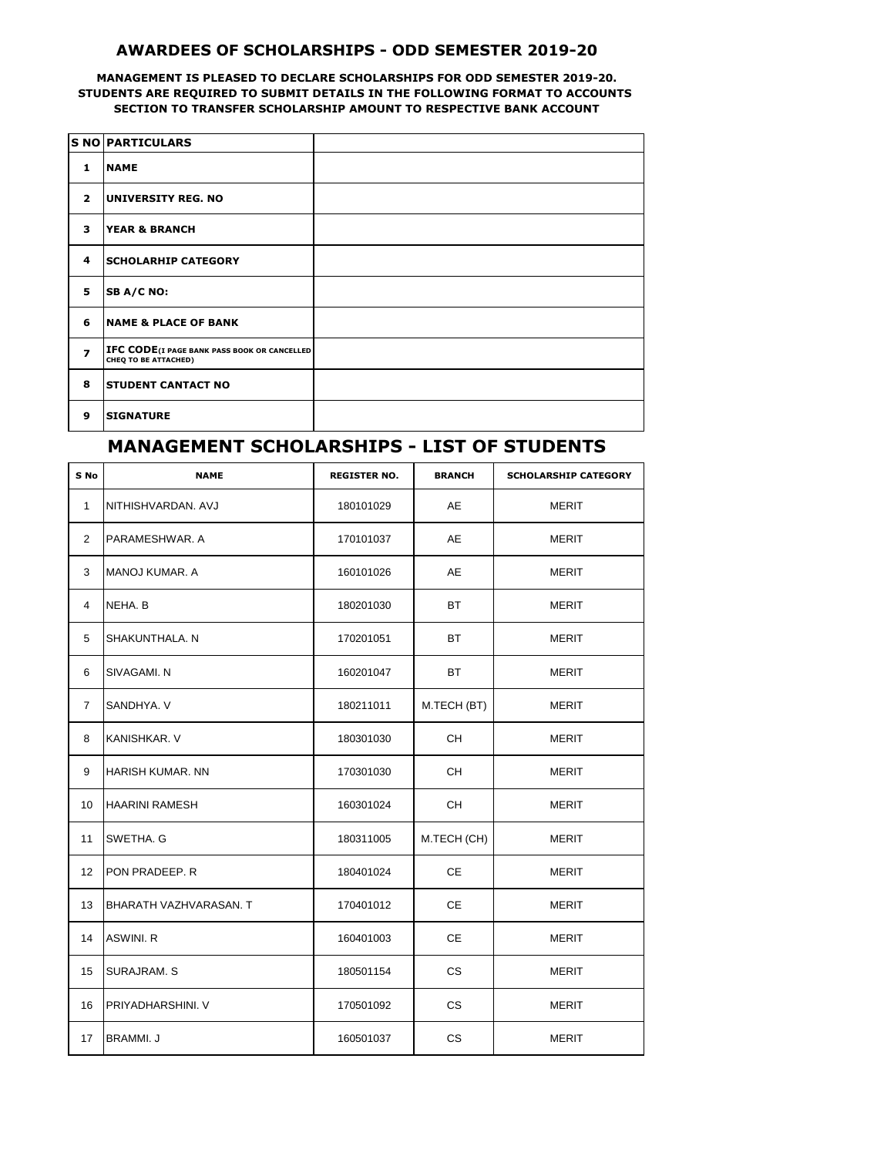## **AWARDEES OF SCHOLARSHIPS - ODD SEMESTER 2019-20**

## **MANAGEMENT IS PLEASED TO DECLARE SCHOLARSHIPS FOR ODD SEMESTER 2019-20. STUDENTS ARE REQUIRED TO SUBMIT DETAILS IN THE FOLLOWING FORMAT TO ACCOUNTS SECTION TO TRANSFER SCHOLARSHIP AMOUNT TO RESPECTIVE BANK ACCOUNT**

|                          | S NO PARTICULARS                                                           |  |
|--------------------------|----------------------------------------------------------------------------|--|
| 1                        | <b>NAME</b>                                                                |  |
| $\overline{2}$           | <b>UNIVERSITY REG. NO</b>                                                  |  |
| 3                        | <b>YEAR &amp; BRANCH</b>                                                   |  |
| 4                        | <b>SCHOLARHIP CATEGORY</b>                                                 |  |
| 5                        | SB A/C NO:                                                                 |  |
| 6                        | <b>NAME &amp; PLACE OF BANK</b>                                            |  |
| $\overline{\phantom{a}}$ | <b>IFC CODE(I PAGE BANK PASS BOOK OR CANCELLED</b><br>CHEQ TO BE ATTACHED) |  |
| 8                        | <b>STUDENT CANTACT NO</b>                                                  |  |
| 9                        | <b>SIGNATURE</b>                                                           |  |

## **MANAGEMENT SCHOLARSHIPS - LIST OF STUDENTS**

| S No              | <b>NAME</b>              | <b>REGISTER NO.</b> | <b>BRANCH</b> | <b>SCHOLARSHIP CATEGORY</b> |
|-------------------|--------------------------|---------------------|---------------|-----------------------------|
| $\mathbf{1}$      | NITHISHVARDAN. AVJ       | 180101029           | AE            | MERIT                       |
| $\overline{2}$    | PARAMESHWAR. A           | 170101037           | AE            | MERIT                       |
| 3                 | IMANOJ KUMAR. A          | 160101026           | AE            | <b>MERIT</b>                |
| 4                 | NEHA, B                  | 180201030           | <b>BT</b>     | <b>MERIT</b>                |
| 5                 | SHAKUNTHALA, N           | 170201051           | <b>BT</b>     | <b>MERIT</b>                |
| 6                 | SIVAGAMI, N              | 160201047           | BT            | <b>MERIT</b>                |
| $\overline{7}$    | SANDHYA, V               | 180211011           | M.TECH (BT)   | <b>MERIT</b>                |
| 8                 | KANISHKAR, V             | 180301030           | <b>CH</b>     | MERIT                       |
| 9                 | <b>HARISH KUMAR, NN</b>  | 170301030           | CH            | MERIT                       |
| 10                | <b>HAARINI RAMESH</b>    | 160301024           | <b>CH</b>     | MERIT                       |
| 11                | SWETHA, G                | 180311005           | M.TECH (CH)   | MERIT                       |
| $12 \overline{ }$ | IPON PRADEEP. R          | 180401024           | <b>CE</b>     | MERIT                       |
| 13                | BHARATH VAZHVARASAN. T   | 170401012           | CE            | <b>MERIT</b>                |
| 14                | ASWINI. R                | 160401003           | CE            | MERIT                       |
| 15                | <b>SURAJRAM. S</b>       | 180501154           | <b>CS</b>     | MERIT                       |
| 16                | <b>PRIYADHARSHINI. V</b> | 170501092           | <b>CS</b>     | MERIT                       |
| 17                | <b>BRAMMI.J</b>          | 160501037           | <b>CS</b>     | <b>MERIT</b>                |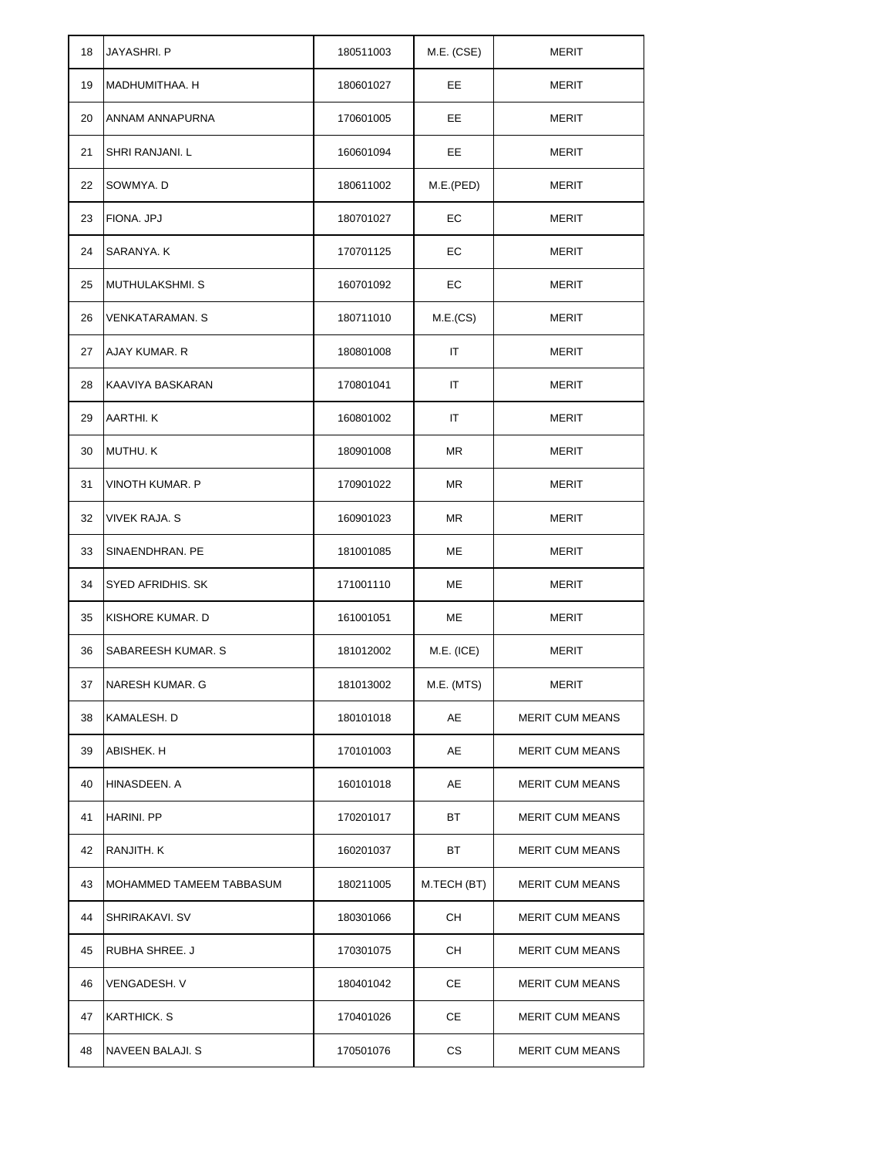| 18 | JAYASHRI. P              | 180511003 | M.E. (CSE)  | MERIT                  |
|----|--------------------------|-----------|-------------|------------------------|
| 19 | MADHUMITHAA. H           | 180601027 | EE          | <b>MERIT</b>           |
| 20 | ANNAM ANNAPURNA          | 170601005 | EE          | MERIT                  |
| 21 | SHRI RANJANI. L          | 160601094 | EE          | MERIT                  |
| 22 | SOWMYA. D                | 180611002 | M.E.(PED)   | MERIT                  |
| 23 | FIONA. JPJ               | 180701027 | EC          | MERIT                  |
| 24 | SARANYA. K               | 170701125 | EС          | <b>MERIT</b>           |
| 25 | <b>MUTHULAKSHMI. S</b>   | 160701092 | EC          | <b>MERIT</b>           |
| 26 | <b>VENKATARAMAN. S</b>   | 180711010 | M.E.(CS)    | MERIT                  |
| 27 | AJAY KUMAR. R            | 180801008 | ΙT          | <b>MERIT</b>           |
| 28 | KAAVIYA BASKARAN         | 170801041 | ΙT          | MERIT                  |
| 29 | AARTHI. K                | 160801002 | IT          | <b>MERIT</b>           |
| 30 | MUTHU. K                 | 180901008 | ΜR          | <b>MERIT</b>           |
| 31 | VINOTH KUMAR. P          | 170901022 | ΜR          | MERIT                  |
| 32 | VIVEK RAJA. S            | 160901023 | ΜR          | MERIT                  |
| 33 | SINAENDHRAN. PE          | 181001085 | МE          | MERIT                  |
| 34 | SYED AFRIDHIS. SK        | 171001110 | МE          | MERIT                  |
| 35 | KISHORE KUMAR. D         | 161001051 | МE          | <b>MERIT</b>           |
| 36 | SABAREESH KUMAR. S       | 181012002 | M.E. (ICE)  | MERIT                  |
| 37 | NARESH KUMAR. G          | 181013002 | M.E. (MTS)  | MERIT                  |
| 38 | KAMALESH. D              | 180101018 | AЕ          | <b>MERIT CUM MEANS</b> |
| 39 | ABISHEK. H               | 170101003 | AE          | <b>MERIT CUM MEANS</b> |
| 40 | HINASDEEN. A             | 160101018 | AE          | <b>MERIT CUM MEANS</b> |
| 41 | HARINI. PP               | 170201017 | ВT          | <b>MERIT CUM MEANS</b> |
| 42 | RANJITH. K               | 160201037 | ВT          | <b>MERIT CUM MEANS</b> |
| 43 | MOHAMMED TAMEEM TABBASUM | 180211005 | M.TECH (BT) | <b>MERIT CUM MEANS</b> |
| 44 | SHRIRAKAVI. SV           | 180301066 | CH.         | <b>MERIT CUM MEANS</b> |
| 45 | RUBHA SHREE. J           | 170301075 | CH.         | <b>MERIT CUM MEANS</b> |
| 46 | VENGADESH. V             | 180401042 | CЕ          | <b>MERIT CUM MEANS</b> |
| 47 | KARTHICK, S              | 170401026 | CЕ          | <b>MERIT CUM MEANS</b> |
| 48 | NAVEEN BALAJI. S         | 170501076 | СS          | <b>MERIT CUM MEANS</b> |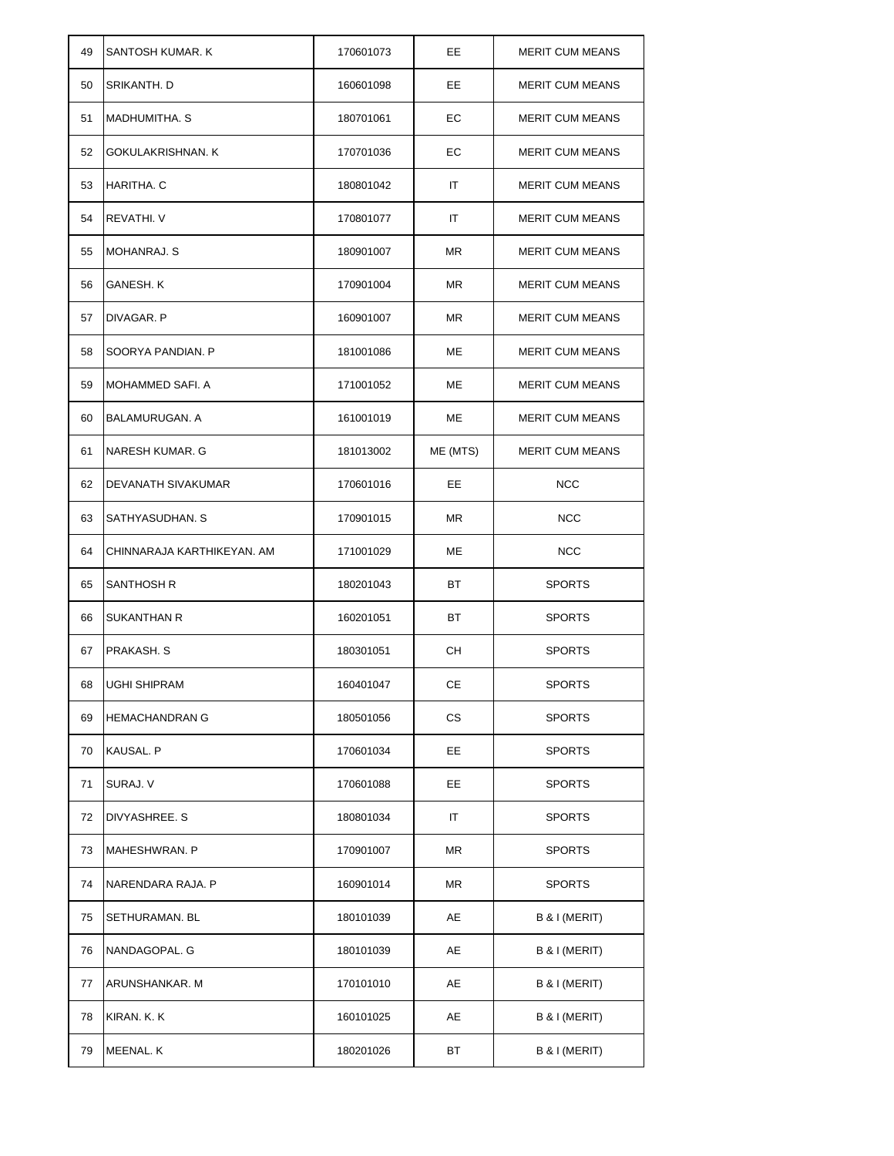| 49 | SANTOSH KUMAR. K           | 170601073 | EE        | <b>MERIT CUM MEANS</b> |
|----|----------------------------|-----------|-----------|------------------------|
| 50 | <b>SRIKANTH, D</b>         | 160601098 | EE.       | <b>MERIT CUM MEANS</b> |
| 51 | MADHUMITHA. S              | 180701061 | EС        | <b>MERIT CUM MEANS</b> |
| 52 | GOKULAKRISHNAN. K          | 170701036 | EС        | <b>MERIT CUM MEANS</b> |
| 53 | HARITHA. C                 | 180801042 | ΙT        | <b>MERIT CUM MEANS</b> |
| 54 | <b>REVATHI, V</b>          | 170801077 | ΙT        | <b>MERIT CUM MEANS</b> |
| 55 | <b>MOHANRAJ. S</b>         | 180901007 | ΜR        | <b>MERIT CUM MEANS</b> |
| 56 | GANESH. K                  | 170901004 | ΜR        | <b>MERIT CUM MEANS</b> |
| 57 | DIVAGAR. P                 | 160901007 | <b>MR</b> | <b>MERIT CUM MEANS</b> |
| 58 | SOORYA PANDIAN. P          | 181001086 | ME        | <b>MERIT CUM MEANS</b> |
| 59 | MOHAMMED SAFI. A           | 171001052 | МE        | <b>MERIT CUM MEANS</b> |
| 60 | <b>BALAMURUGAN, A</b>      | 161001019 | МE        | <b>MERIT CUM MEANS</b> |
| 61 | <b>NARESH KUMAR, G</b>     | 181013002 | ME (MTS)  | <b>MERIT CUM MEANS</b> |
| 62 | DEVANATH SIVAKUMAR         | 170601016 | EE        | <b>NCC</b>             |
| 63 | SATHYASUDHAN. S            | 170901015 | <b>MR</b> | <b>NCC</b>             |
| 64 | CHINNARAJA KARTHIKEYAN. AM | 171001029 | МE        | <b>NCC</b>             |
| 65 | SANTHOSH R                 | 180201043 | ВT        | <b>SPORTS</b>          |
| 66 | <b>SUKANTHAN R</b>         | 160201051 | ВT        | <b>SPORTS</b>          |
| 67 | PRAKASH. S                 | 180301051 | CН        | <b>SPORTS</b>          |
| 68 | UGHI SHIPRAM               | 160401047 | CЕ        | <b>SPORTS</b>          |
| 69 | <b>HEMACHANDRAN G</b>      | 180501056 | CS        | <b>SPORTS</b>          |
| 70 | <b>KAUSAL. P</b>           | 170601034 | EE        | <b>SPORTS</b>          |
| 71 | SURAJ. V                   | 170601088 | EE        | <b>SPORTS</b>          |
| 72 | DIVYASHREE, S              | 180801034 | ΙT        | <b>SPORTS</b>          |
| 73 | <b>MAHESHWRAN. P</b>       | 170901007 | ΜR        | <b>SPORTS</b>          |
| 74 | NARENDARA RAJA. P          | 160901014 | ΜR        | <b>SPORTS</b>          |
| 75 | <b>SETHURAMAN. BL</b>      | 180101039 | AE        | B & I (MERIT)          |
| 76 | NANDAGOPAL. G              | 180101039 | AE        | B & I (MERIT)          |
| 77 | ARUNSHANKAR. M             | 170101010 | AЕ        | B & I (MERIT)          |
| 78 | KIRAN. K. K                | 160101025 | AE        | B & I (MERIT)          |
| 79 | MEENAL. K                  | 180201026 | ВT        | B & I (MERIT)          |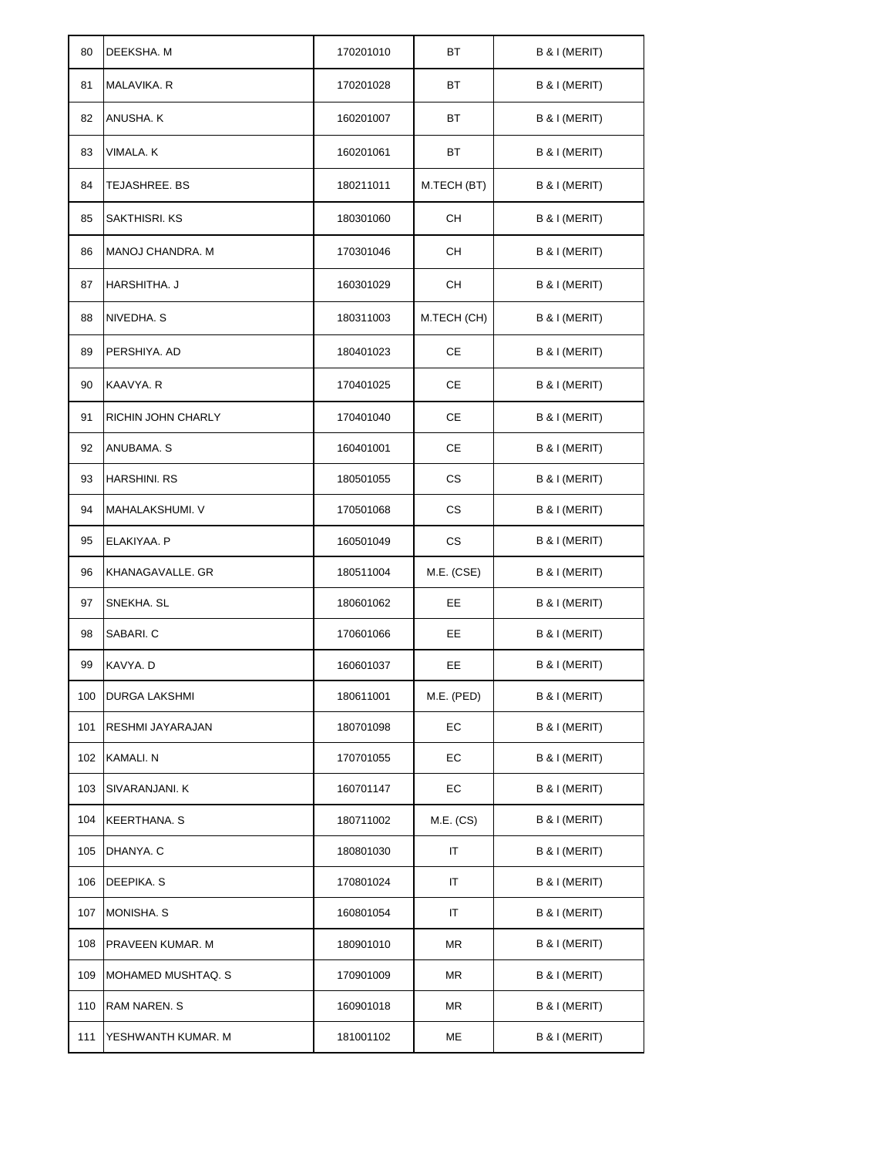| 80  | DEEKSHA. M           | 170201010 | ВT          | B & I (MERIT) |
|-----|----------------------|-----------|-------------|---------------|
| 81  | MALAVIKA. R          | 170201028 | ВT          | B & I (MERIT) |
| 82  | ANUSHA. K            | 160201007 | ВT          | B & I (MERIT) |
| 83  | VIMALA. K            | 160201061 | ВT          | B & I (MERIT) |
| 84  | TEJASHREE, BS        | 180211011 | M.TECH (BT) | B & I (MERIT) |
| 85  | SAKTHISRI. KS        | 180301060 | CН          | B & I (MERIT) |
| 86  | MANOJ CHANDRA. M     | 170301046 | CН          | B & I (MERIT) |
| 87  | HARSHITHA. J         | 160301029 | CН          | B & I (MERIT) |
| 88  | NIVEDHA. S           | 180311003 | M.TECH (CH) | B & I (MERIT) |
| 89  | PERSHIYA. AD         | 180401023 | CЕ          | B & I (MERIT) |
| 90  | KAAVYA. R            | 170401025 | СE          | B & I (MERIT) |
| 91  | RICHIN JOHN CHARLY   | 170401040 | CЕ          | B & I (MERIT) |
| 92  | ANUBAMA. S           | 160401001 | CЕ          | B & I (MERIT) |
| 93  | <b>HARSHINI. RS</b>  | 180501055 | <b>CS</b>   | B & I (MERIT) |
| 94  | MAHALAKSHUMI. V      | 170501068 | <b>CS</b>   | B & I (MERIT) |
| 95  | ELAKIYAA. P          | 160501049 | <b>CS</b>   | B & I (MERIT) |
| 96  | KHANAGAVALLE. GR     | 180511004 | M.E. (CSE)  | B & I (MERIT) |
| 97  | SNEKHA, SL           | 180601062 | EE          | B & I (MERIT) |
| 98  | SABARI. C            | 170601066 | EE          | B & I (MERIT) |
| 99  | KAVYA. D             | 160601037 | EE          | B & I (MERIT) |
| 100 | <b>DURGA LAKSHMI</b> | 180611001 | M.E. (PED)  | B & I (MERIT) |
| 101 | RESHMI JAYARAJAN     | 180701098 | EC          | B & I (MERIT) |
| 102 | KAMALI. N            | 170701055 | EС          | B & I (MERIT) |
| 103 | SIVARANJANI. K       | 160701147 | EС          | B & I (MERIT) |
| 104 | <b>KEERTHANA. S</b>  | 180711002 | M.E. (CS)   | B & I (MERIT) |
| 105 | DHANYA. C            | 180801030 | IT          | B & I (MERIT) |
| 106 | DEEPIKA. S           | 170801024 | IT          | B & I (MERIT) |
| 107 | MONISHA. S           | 160801054 | IT          | B & I (MERIT) |
| 108 | PRAVEEN KUMAR. M     | 180901010 | ΜR          | B & I (MERIT) |
| 109 | MOHAMED MUSHTAQ. S   | 170901009 | ΜR          | B & I (MERIT) |
| 110 | RAM NAREN. S         | 160901018 | ΜR          | B & I (MERIT) |
| 111 | YESHWANTH KUMAR. M   | 181001102 | МE          | B & I (MERIT) |